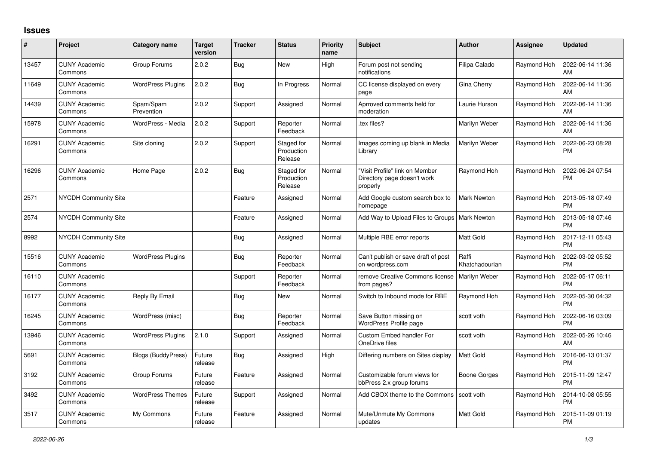## **Issues**

| $\pmb{\#}$ | Project                         | Category name            | <b>Target</b><br>version | <b>Tracker</b> | <b>Status</b>                       | Priority<br>name | <b>Subject</b>                                                            | <b>Author</b>           | <b>Assignee</b> | <b>Updated</b>                |
|------------|---------------------------------|--------------------------|--------------------------|----------------|-------------------------------------|------------------|---------------------------------------------------------------------------|-------------------------|-----------------|-------------------------------|
| 13457      | <b>CUNY Academic</b><br>Commons | Group Forums             | 2.0.2                    | Bug            | New                                 | High             | Forum post not sending<br>notifications                                   | Filipa Calado           | Raymond Hoh     | 2022-06-14 11:36<br>AM        |
| 11649      | <b>CUNY Academic</b><br>Commons | <b>WordPress Plugins</b> | 2.0.2                    | Bug            | In Progress                         | Normal           | CC license displayed on every<br>page                                     | Gina Cherry             | Raymond Hoh     | 2022-06-14 11:36<br>AM        |
| 14439      | <b>CUNY Academic</b><br>Commons | Spam/Spam<br>Prevention  | 2.0.2                    | Support        | Assigned                            | Normal           | Aprroved comments held for<br>moderation                                  | Laurie Hurson           | Raymond Hoh     | 2022-06-14 11:36<br>AM        |
| 15978      | <b>CUNY Academic</b><br>Commons | WordPress - Media        | 2.0.2                    | Support        | Reporter<br>Feedback                | Normal           | tex files?                                                                | Marilyn Weber           | Raymond Hoh     | 2022-06-14 11:36<br>AM        |
| 16291      | <b>CUNY Academic</b><br>Commons | Site cloning             | 2.0.2                    | Support        | Staged for<br>Production<br>Release | Normal           | Images coming up blank in Media<br>Library                                | Marilyn Weber           | Raymond Hoh     | 2022-06-23 08:28<br><b>PM</b> |
| 16296      | <b>CUNY Academic</b><br>Commons | Home Page                | 2.0.2                    | <b>Bug</b>     | Staged for<br>Production<br>Release | Normal           | "Visit Profile" link on Member<br>Directory page doesn't work<br>properly | Raymond Hoh             | Raymond Hoh     | 2022-06-24 07:54<br><b>PM</b> |
| 2571       | NYCDH Community Site            |                          |                          | Feature        | Assigned                            | Normal           | Add Google custom search box to<br>homepage                               | <b>Mark Newton</b>      | Raymond Hoh     | 2013-05-18 07:49<br><b>PM</b> |
| 2574       | <b>NYCDH Community Site</b>     |                          |                          | Feature        | Assigned                            | Normal           | Add Way to Upload Files to Groups   Mark Newton                           |                         | Raymond Hoh     | 2013-05-18 07:46<br><b>PM</b> |
| 8992       | <b>NYCDH Community Site</b>     |                          |                          | <b>Bug</b>     | Assigned                            | Normal           | Multiple RBE error reports                                                | <b>Matt Gold</b>        | Raymond Hoh     | 2017-12-11 05:43<br><b>PM</b> |
| 15516      | <b>CUNY Academic</b><br>Commons | <b>WordPress Plugins</b> |                          | <b>Bug</b>     | Reporter<br>Feedback                | Normal           | Can't publish or save draft of post<br>on wordpress.com                   | Raffi<br>Khatchadourian | Raymond Hoh     | 2022-03-02 05:52<br><b>PM</b> |
| 16110      | <b>CUNY Academic</b><br>Commons |                          |                          | Support        | Reporter<br>Feedback                | Normal           | remove Creative Commons license<br>from pages?                            | Marilyn Weber           | Raymond Hoh     | 2022-05-17 06:11<br><b>PM</b> |
| 16177      | <b>CUNY Academic</b><br>Commons | Reply By Email           |                          | <b>Bug</b>     | New                                 | Normal           | Switch to Inbound mode for RBE                                            | Raymond Hoh             | Raymond Hoh     | 2022-05-30 04:32<br><b>PM</b> |
| 16245      | <b>CUNY Academic</b><br>Commons | WordPress (misc)         |                          | <b>Bug</b>     | Reporter<br>Feedback                | Normal           | Save Button missing on<br>WordPress Profile page                          | scott voth              | Raymond Hoh     | 2022-06-16 03:09<br><b>PM</b> |
| 13946      | <b>CUNY Academic</b><br>Commons | <b>WordPress Plugins</b> | 2.1.0                    | Support        | Assigned                            | Normal           | Custom Embed handler For<br>OneDrive files                                | scott voth              | Raymond Hoh     | 2022-05-26 10:46<br>AM        |
| 5691       | <b>CUNY Academic</b><br>Commons | Blogs (BuddyPress)       | Future<br>release        | Bug            | Assigned                            | High             | Differing numbers on Sites display                                        | Matt Gold               | Raymond Hoh     | 2016-06-13 01:37<br><b>PM</b> |
| 3192       | <b>CUNY Academic</b><br>Commons | Group Forums             | Future<br>release        | Feature        | Assigned                            | Normal           | Customizable forum views for<br>bbPress 2.x group forums                  | Boone Gorges            | Raymond Hoh     | 2015-11-09 12:47<br><b>PM</b> |
| 3492       | <b>CUNY Academic</b><br>Commons | <b>WordPress Themes</b>  | Future<br>release        | Support        | Assigned                            | Normal           | Add CBOX theme to the Commons Scott voth                                  |                         | Raymond Hoh     | 2014-10-08 05:55<br><b>PM</b> |
| 3517       | <b>CUNY Academic</b><br>Commons | My Commons               | Future<br>release        | Feature        | Assigned                            | Normal           | Mute/Unmute My Commons<br>updates                                         | Matt Gold               | Raymond Hoh     | 2015-11-09 01:19<br><b>PM</b> |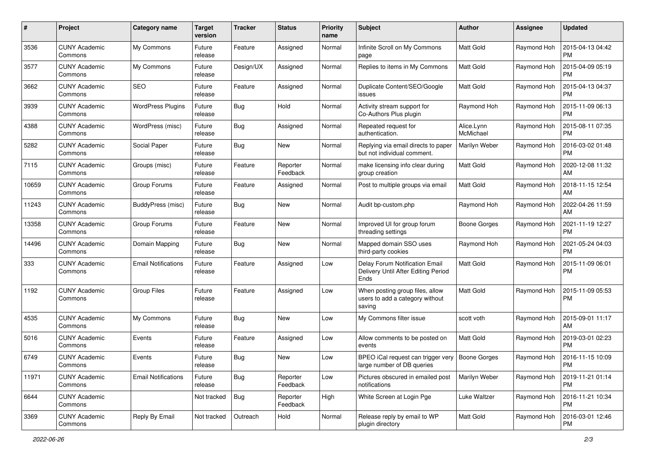| $\pmb{\#}$ | Project                         | Category name              | <b>Target</b><br>version | <b>Tracker</b> | <b>Status</b>        | <b>Priority</b><br>name | Subject                                                                       | Author                  | Assignee    | <b>Updated</b>                |
|------------|---------------------------------|----------------------------|--------------------------|----------------|----------------------|-------------------------|-------------------------------------------------------------------------------|-------------------------|-------------|-------------------------------|
| 3536       | <b>CUNY Academic</b><br>Commons | My Commons                 | Future<br>release        | Feature        | Assigned             | Normal                  | Infinite Scroll on My Commons<br>page                                         | Matt Gold               | Raymond Hoh | 2015-04-13 04:42<br><b>PM</b> |
| 3577       | <b>CUNY Academic</b><br>Commons | My Commons                 | Future<br>release        | Design/UX      | Assigned             | Normal                  | Replies to items in My Commons                                                | <b>Matt Gold</b>        | Raymond Hoh | 2015-04-09 05:19<br>PM        |
| 3662       | <b>CUNY Academic</b><br>Commons | <b>SEO</b>                 | Future<br>release        | Feature        | Assigned             | Normal                  | Duplicate Content/SEO/Google<br>issues                                        | <b>Matt Gold</b>        | Raymond Hoh | 2015-04-13 04:37<br><b>PM</b> |
| 3939       | <b>CUNY Academic</b><br>Commons | <b>WordPress Plugins</b>   | Future<br>release        | Bug            | Hold                 | Normal                  | Activity stream support for<br>Co-Authors Plus plugin                         | Raymond Hoh             | Raymond Hoh | 2015-11-09 06:13<br><b>PM</b> |
| 4388       | <b>CUNY Academic</b><br>Commons | WordPress (misc)           | Future<br>release        | Bug            | Assigned             | Normal                  | Repeated request for<br>authentication.                                       | Alice.Lynn<br>McMichael | Raymond Hoh | 2015-08-11 07:35<br><b>PM</b> |
| 5282       | <b>CUNY Academic</b><br>Commons | Social Paper               | Future<br>release        | Bug            | <b>New</b>           | Normal                  | Replying via email directs to paper<br>but not individual comment.            | Marilyn Weber           | Raymond Hoh | 2016-03-02 01:48<br><b>PM</b> |
| 7115       | <b>CUNY Academic</b><br>Commons | Groups (misc)              | Future<br>release        | Feature        | Reporter<br>Feedback | Normal                  | make licensing info clear during<br>group creation                            | <b>Matt Gold</b>        | Raymond Hoh | 2020-12-08 11:32<br>AM        |
| 10659      | <b>CUNY Academic</b><br>Commons | Group Forums               | Future<br>release        | Feature        | Assigned             | Normal                  | Post to multiple groups via email                                             | <b>Matt Gold</b>        | Raymond Hoh | 2018-11-15 12:54<br>AM        |
| 11243      | <b>CUNY Academic</b><br>Commons | <b>BuddyPress (misc)</b>   | Future<br>release        | Bug            | New                  | Normal                  | Audit bp-custom.php                                                           | Raymond Hoh             | Raymond Hoh | 2022-04-26 11:59<br>AM        |
| 13358      | CUNY Academic<br>Commons        | Group Forums               | Future<br>release        | Feature        | <b>New</b>           | Normal                  | Improved UI for group forum<br>threading settings                             | Boone Gorges            | Raymond Hoh | 2021-11-19 12:27<br><b>PM</b> |
| 14496      | <b>CUNY Academic</b><br>Commons | Domain Mapping             | Future<br>release        | Bug            | <b>New</b>           | Normal                  | Mapped domain SSO uses<br>third-party cookies                                 | Raymond Hoh             | Raymond Hoh | 2021-05-24 04:03<br><b>PM</b> |
| 333        | <b>CUNY Academic</b><br>Commons | <b>Email Notifications</b> | Future<br>release        | Feature        | Assigned             | Low                     | Delay Forum Notification Email<br>Delivery Until After Editing Period<br>Ends | <b>Matt Gold</b>        | Raymond Hoh | 2015-11-09 06:01<br><b>PM</b> |
| 1192       | <b>CUNY Academic</b><br>Commons | <b>Group Files</b>         | Future<br>release        | Feature        | Assigned             | Low                     | When posting group files, allow<br>users to add a category without<br>saving  | Matt Gold               | Raymond Hoh | 2015-11-09 05:53<br><b>PM</b> |
| 4535       | <b>CUNY Academic</b><br>Commons | My Commons                 | Future<br>release        | <b>Bug</b>     | <b>New</b>           | Low                     | My Commons filter issue                                                       | scott voth              | Raymond Hoh | 2015-09-01 11:17<br>AM        |
| 5016       | <b>CUNY Academic</b><br>Commons | Events                     | Future<br>release        | Feature        | Assigned             | Low                     | Allow comments to be posted on<br>events                                      | <b>Matt Gold</b>        | Raymond Hoh | 2019-03-01 02:23<br><b>PM</b> |
| 6749       | <b>CUNY Academic</b><br>Commons | Events                     | Future<br>release        | <b>Bug</b>     | New                  | Low                     | BPEO iCal request can trigger very<br>large number of DB queries              | Boone Gorges            | Raymond Hoh | 2016-11-15 10:09<br>PM        |
| 11971      | <b>CUNY Academic</b><br>Commons | <b>Email Notifications</b> | Future<br>release        | <b>Bug</b>     | Reporter<br>Feedback | Low                     | Pictures obscured in emailed post<br>notifications                            | Marilyn Weber           | Raymond Hoh | 2019-11-21 01:14<br><b>PM</b> |
| 6644       | <b>CUNY Academic</b><br>Commons |                            | Not tracked              | Bug            | Reporter<br>Feedback | High                    | White Screen at Login Pge                                                     | Luke Waltzer            | Raymond Hoh | 2016-11-21 10:34<br><b>PM</b> |
| 3369       | <b>CUNY Academic</b><br>Commons | Reply By Email             | Not tracked              | Outreach       | Hold                 | Normal                  | Release reply by email to WP<br>plugin directory                              | Matt Gold               | Raymond Hoh | 2016-03-01 12:46<br><b>PM</b> |